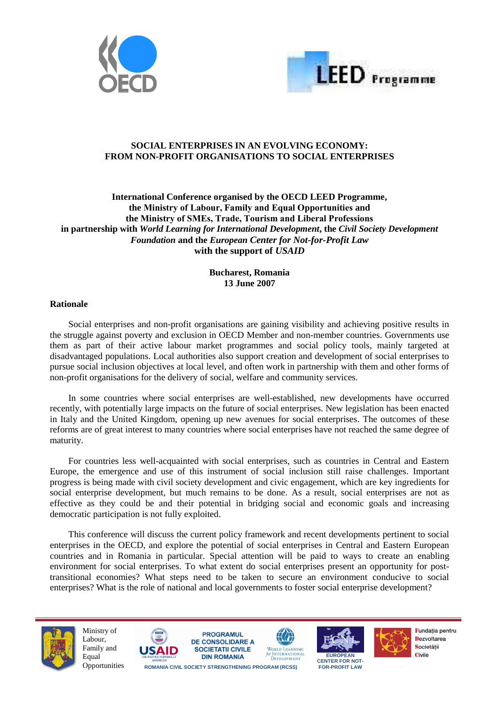



# **SOCIAL ENTERPRISES IN AN EVOLVING ECONOMY: FROM NON-PROFIT ORGANISATIONS TO SOCIAL ENTERPRISES**

# **International Conference organised by the OECD LEED Programme, the Ministry of Labour, Family and Equal Opportunities and the Ministry of SMEs, Trade, Tourism and Liberal Professions in partnership with** *World Learning for International Development***, the** *Civil Society Development Foundation* **and the** *European Center for Not-for-Profit Law* **with the support of** *USAID*

# **Bucharest, Romania 13 June 2007**

## **Rationale**

Social enterprises and non-profit organisations are gaining visibility and achieving positive results in the struggle against poverty and exclusion in OECD Member and non-member countries. Governments use them as part of their active labour market programmes and social policy tools, mainly targeted at disadvantaged populations. Local authorities also support creation and development of social enterprises to pursue social inclusion objectives at local level, and often work in partnership with them and other forms of non-profit organisations for the delivery of social, welfare and community services.

In some countries where social enterprises are well-established, new developments have occurred recently, with potentially large impacts on the future of social enterprises. New legislation has been enacted in Italy and the United Kingdom, opening up new avenues for social enterprises. The outcomes of these reforms are of great interest to many countries where social enterprises have not reached the same degree of maturity.

For countries less well-acquainted with social enterprises, such as countries in Central and Eastern Europe, the emergence and use of this instrument of social inclusion still raise challenges. Important progress is being made with civil society development and civic engagement, which are key ingredients for social enterprise development, but much remains to be done. As a result, social enterprises are not as effective as they could be and their potential in bridging social and economic goals and increasing democratic participation is not fully exploited.

This conference will discuss the current policy framework and recent developments pertinent to social enterprises in the OECD, and explore the potential of social enterprises in Central and Eastern European countries and in Romania in particular. Special attention will be paid to ways to create an enabling environment for social enterprises. To what extent do social enterprises present an opportunity for posttransitional economies? What steps need to be taken to secure an environment conducive to social enterprises? What is the role of national and local governments to foster social enterprise development?



Ministry of Labour, Family and Equal





**Opportunities ROMANIA CIVIL SOCIETY STRENGTHENING PROGRAM (RCSS)** 





Fundatia pentru Dezvoltarea Societății Civile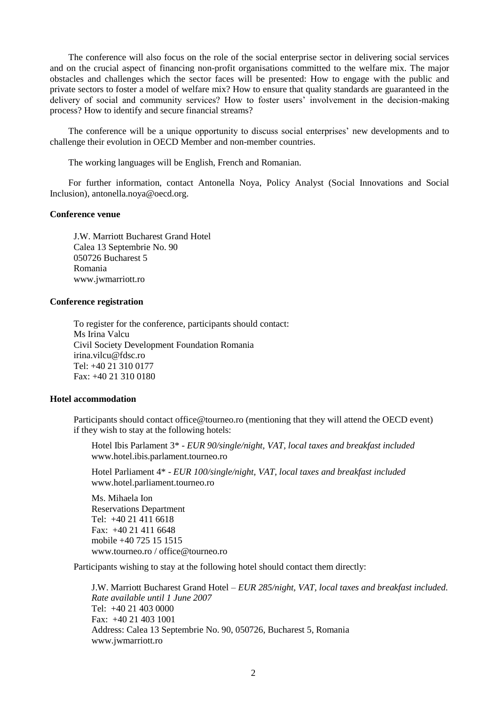The conference will also focus on the role of the social enterprise sector in delivering social services and on the crucial aspect of financing non-profit organisations committed to the welfare mix. The major obstacles and challenges which the sector faces will be presented: How to engage with the public and private sectors to foster a model of welfare mix? How to ensure that quality standards are guaranteed in the delivery of social and community services? How to foster users' involvement in the decision-making process? How to identify and secure financial streams?

The conference will be a unique opportunity to discuss social enterprises' new developments and to challenge their evolution in OECD Member and non-member countries.

The working languages will be English, French and Romanian.

For further information, contact Antonella Noya, Policy Analyst (Social Innovations and Social Inclusion), antonella.noya@oecd.org.

## **Conference venue**

J.W. Marriott Bucharest Grand Hotel Calea 13 Septembrie No. 90 050726 Bucharest 5 Romania www.jwmarriott.ro

#### **Conference registration**

To register for the conference, participants should contact: Ms Irina Valcu Civil Society Development Foundation Romania irina.vilcu@fdsc.ro Tel: +40 21 310 0177 Fax: +40 21 310 0180

## **Hotel accommodation**

Participants should contact office@tourneo.ro (mentioning that they will attend the OECD event) if they wish to stay at the following hotels:

Hotel Ibis Parlament 3\* - *EUR 90/single/night, VAT, local taxes and breakfast included* www.hotel.ibis.parlament.tourneo.ro

Hotel Parliament 4\* - *EUR 100/single/night, VAT, local taxes and breakfast included* www.hotel.parliament.tourneo.ro

Ms. Mihaela Ion Reservations Department Tel: +40 21 411 6618 Fax: +40 21 411 6648 mobile +40 725 15 1515 [www.tourneo.ro](http://www.tourneo.ro/) / [office@tourneo.ro](mailto:office@tourneo.ro)

Participants wishing to stay at the following hotel should contact them directly:

J.W. Marriott Bucharest Grand Hotel *– EUR 285/night, VAT, local taxes and breakfast included. Rate available until 1 June 2007*  Tel: +40 21 403 0000 Fax: +40 21 403 1001 Address: Calea 13 Septembrie No. 90, 050726, Bucharest 5, Romania www.jwmarriott.ro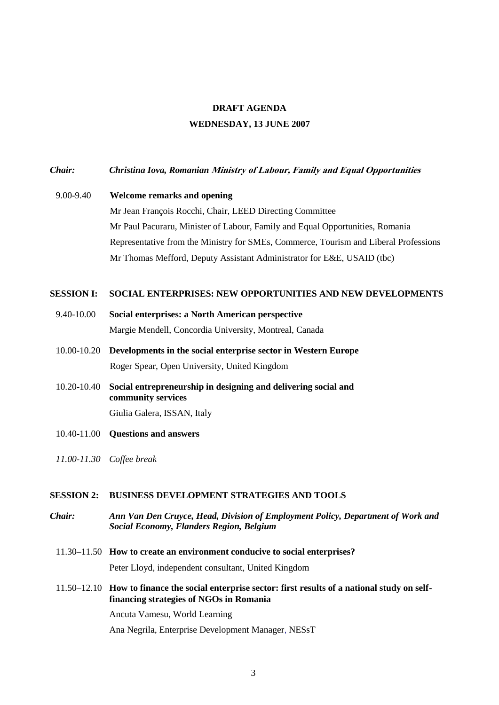# **DRAFT AGENDA WEDNESDAY, 13 JUNE 2007**

## *Chair: Christina Iova, Romanian* **Ministry of Labour, Family and Equal Opportunities**

#### 9.00-9.40 **Welcome remarks and opening**

Mr Jean François Rocchi, Chair, LEED Directing Committee Mr Paul Pacuraru, Minister of Labour, Family and Equal Opportunities, Romania Representative from the Ministry for SMEs, Commerce, Tourism and Liberal Professions Mr Thomas Mefford, Deputy Assistant Administrator for E&E, USAID (tbc)

## **SESSION I: SOCIAL ENTERPRISES: NEW OPPORTUNITIES AND NEW DEVELOPMENTS**

- 9.40-10.00 **Social enterprises: a North American perspective** Margie Mendell, Concordia University, Montreal, Canada
- 10.00-10.20 **Developments in the social enterprise sector in Western Europe** Roger Spear, Open University, United Kingdom
- 10.20-10.40 **Social entrepreneurship in designing and delivering social and community services** Giulia Galera, ISSAN, Italy
- 10.40-11.00 **Questions and answers**
- *11.00-11.30 Coffee break*

### **SESSION 2: BUSINESS DEVELOPMENT STRATEGIES AND TOOLS**

- *Chair: Ann Van Den Cruyce, Head, Division of Employment Policy, Department of Work and Social Economy, Flanders Region, Belgium*
- 11.30–11.50 **How to create an environment conducive to social enterprises?** Peter Lloyd, independent consultant, United Kingdom
- 11.50–12.10 **How to finance the social enterprise sector: first results of a national study on selffinancing strategies of NGOs in Romania**

Ancuta Vamesu, World Learning

Ana Negrila, Enterprise Development Manager, NESsT